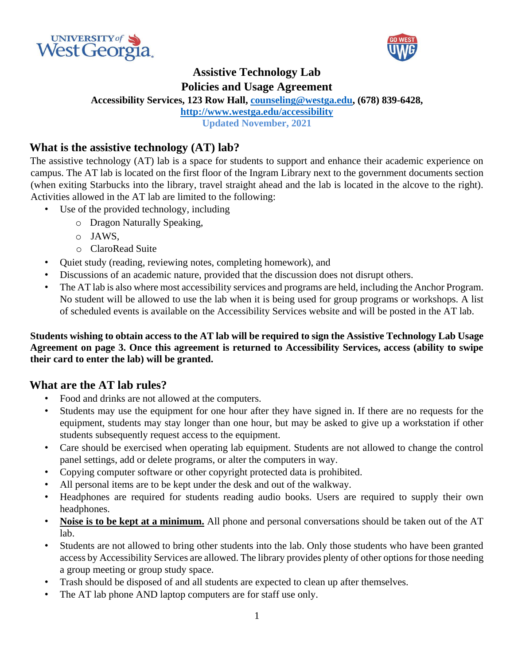



# **Assistive Technology Lab**

**Policies and Usage Agreement** 

**Accessibility Services, 123 Row Hall, counseling@westga.edu, (678) 839-6428,** 

**http://www.westga.edu/accessibility**

**Updated November, 2021**

#### **What is the assistive technology (AT) lab?**

The assistive technology (AT) lab is a space for students to support and enhance their academic experience on campus. The AT lab is located on the first floor of the Ingram Library next to the government documents section (when exiting Starbucks into the library, travel straight ahead and the lab is located in the alcove to the right). Activities allowed in the AT lab are limited to the following:

- Use of the provided technology, including
	- o Dragon Naturally Speaking,
	- o JAWS,
	- o ClaroRead Suite
- Quiet study (reading, reviewing notes, completing homework), and
- Discussions of an academic nature, provided that the discussion does not disrupt others.
- The AT lab is also where most accessibility services and programs are held, including the Anchor Program. No student will be allowed to use the lab when it is being used for group programs or workshops. A list of scheduled events is available on the Accessibility Services website and will be posted in the AT lab.

**Students wishing to obtain access to the AT lab will be required to sign the Assistive Technology Lab Usage Agreement on page 3. Once this agreement is returned to Accessibility Services, access (ability to swipe their card to enter the lab) will be granted.** 

#### **What are the AT lab rules?**

- Food and drinks are not allowed at the computers.
- Students may use the equipment for one hour after they have signed in. If there are no requests for the equipment, students may stay longer than one hour, but may be asked to give up a workstation if other students subsequently request access to the equipment.
- Care should be exercised when operating lab equipment. Students are not allowed to change the control panel settings, add or delete programs, or alter the computers in way.
- Copying computer software or other copyright protected data is prohibited.
- All personal items are to be kept under the desk and out of the walkway.
- Headphones are required for students reading audio books. Users are required to supply their own headphones.
- **Noise is to be kept at a minimum.** All phone and personal conversations should be taken out of the AT lab.
- Students are not allowed to bring other students into the lab. Only those students who have been granted access by Accessibility Services are allowed. The library provides plenty of other options for those needing a group meeting or group study space.
- Trash should be disposed of and all students are expected to clean up after themselves.
- The AT lab phone AND laptop computers are for staff use only.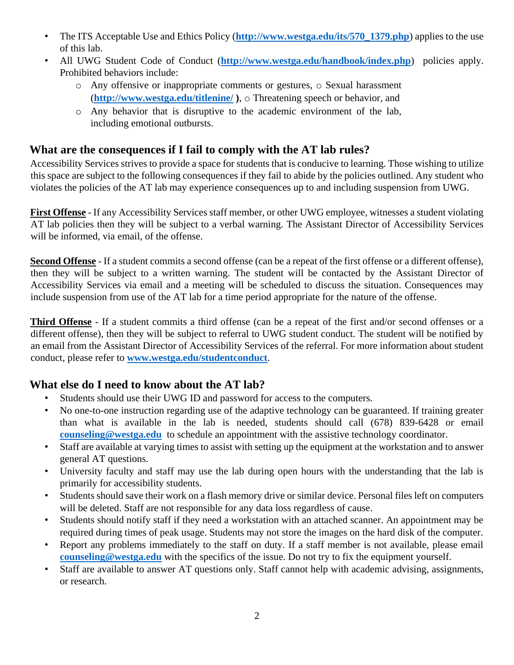- The ITS Acceptable Use and Ethics Policy (**http://www.westga.edu/its/570\_1379.php**) applies to the use of this lab.
- All UWG Student Code of Conduct (**http://www.westga.edu/handbook/index.php**) policies apply. Prohibited behaviors include:
	- o Any offensive or inappropriate comments or gestures, o Sexual harassment (**http://www.westga.edu/titlenine/ )**, o Threatening speech or behavior, and
	- o Any behavior that is disruptive to the academic environment of the lab, including emotional outbursts.

### **What are the consequences if I fail to comply with the AT lab rules?**

Accessibility Services strives to provide a space for students that is conducive to learning. Those wishing to utilize this space are subject to the following consequences if they fail to abide by the policies outlined. Any student who violates the policies of the AT lab may experience consequences up to and including suspension from UWG.

**First Offense** - If any Accessibility Services staff member, or other UWG employee, witnesses a student violating AT lab policies then they will be subject to a verbal warning. The Assistant Director of Accessibility Services will be informed, via email, of the offense.

**Second Offense** - If a student commits a second offense (can be a repeat of the first offense or a different offense), then they will be subject to a written warning. The student will be contacted by the Assistant Director of Accessibility Services via email and a meeting will be scheduled to discuss the situation. Consequences may include suspension from use of the AT lab for a time period appropriate for the nature of the offense.

**Third Offense** - If a student commits a third offense (can be a repeat of the first and/or second offenses or a different offense), then they will be subject to referral to UWG student conduct. The student will be notified by an email from the Assistant Director of Accessibility Services of the referral. For more information about student conduct, please refer to **www.westga.edu/studentconduct**.

## **What else do I need to know about the AT lab?**

- Students should use their UWG ID and password for access to the computers.
- No one-to-one instruction regarding use of the adaptive technology can be guaranteed. If training greater than what is available in the lab is needed, students should call (678) 839-6428 or email **counseling@westga.edu** to schedule an appointment with the assistive technology coordinator.
- Staff are available at varying times to assist with setting up the equipment at the workstation and to answer general AT questions.
- University faculty and staff may use the lab during open hours with the understanding that the lab is primarily for accessibility students.
- Students should save their work on a flash memory drive or similar device. Personal files left on computers will be deleted. Staff are not responsible for any data loss regardless of cause.
- Students should notify staff if they need a workstation with an attached scanner. An appointment may be required during times of peak usage. Students may not store the images on the hard disk of the computer.
- Report any problems immediately to the staff on duty. If a staff member is not available, please email **counseling@westga.edu** with the specifics of the issue. Do not try to fix the equipment yourself.
- Staff are available to answer AT questions only. Staff cannot help with academic advising, assignments, or research.